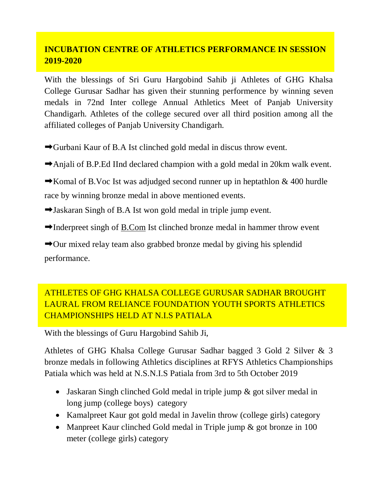## **INCUBATION CENTRE OF ATHLETICS PERFORMANCE IN SESSION 2019-2020**

With the blessings of Sri Guru Hargobind Sahib ji Athletes of GHG Khalsa College Gurusar Sadhar has given their stunning performence by winning seven medals in 72nd Inter college Annual Athletics Meet of Panjab University Chandigarh. Athletes of the college secured over all third position among all the affiliated colleges of Panjab University Chandigarh.

- ➡Gurbani Kaur of B.A Ist clinched gold medal in discus throw event.
- ➡Anjali of B.P.Ed IInd declared champion with a gold medal in 20km walk event.
- $\rightarrow$ Komal of B.Voc Ist was adjudged second runner up in heptathlon & 400 hurdle race by winning bronze medal in above mentioned events.
- ➡Jaskaran Singh of B.A Ist won gold medal in triple jump event.
- $\rightarrow$ Inderpreet singh of [B.Com](https://l.facebook.com/l.php?u=http%3A%2F%2FB.Com%2F%3Ffbclid%3DIwAR1i5gMqP1mqx4SDQ2NUczr8j7cosLlN_ArfIiaJDtRYLELX2QvYIlfID8g&h=AT2O8PXAGzPg4DWIt9i0MpB2_BI_U_ukZIPpPUfzm20Xya20I8YUIlnOYeaPtfg_Rwigbgh8eHp4ynof_Zq-VfFI-8lk8fDCce9vEZP6ljYsX43RmvzgI-OYuyf3FmTtRQrcioSGMP0ci8Cpb5Dok0iioDK2mcrDJPHt9Aygtj3-ZTgYkwFJqquVjm11r3ps1h_65y_Qwd5d2N66FFK2j0XEYgyj26-ZmvlnInnhnqxAV1YRI0kOUNfWTUc23C6GeG2wXGy6UfW5t3Q3R5M4WSRuJqT39-TXtuPRrjphaUbhHhmzOnWXjygMLLJWC1n4oMpYQpY2nINAbiWrQuddb9gFylvKN1elbZYvyaSoamLmGDCvvuzx5txJhRansbGtPTcQXok1RJ5b83KPrDqkNIv-6NE_IIvtyCGFi8We_kIfSl7GV_5n9z7T_uh7xZlHV6Z4EBpyLBqZlpdQH5OgTSWDCkTMmGmm3iUm4pCQFmE6e_9MSrOOFJlgCFYzx2fCSY-GXyzqUXpYFsG8yozKBv2lrFCyooqV4Qi6cWeOhgUSym7i6YNuAGqOFlkuyYN3v0hQ2vM1Kp55R0D1mq7x5TM7PzBljecMiU3BDFg-NtyDwoRwOAyGloNjG0-LV9tc_WbNCuHE5DVwHxT-Xi9h_Wc9XcuxNwVy2mSgBC_YAwz-j-WXb4zbTXxwSwcrm62XYapTqfJmg1IMnhOxfisjA1yhe9OzWuazq9Qlf_is7Jn_MIk) Ist clinched bronze medal in hammer throw event

➡Our mixed relay team also grabbed bronze medal by giving his splendid performance.

## ATHLETES OF GHG KHALSA COLLEGE GURUSAR SADHAR BROUGHT LAURAL FROM RELIANCE FOUNDATION YOUTH SPORTS ATHLETICS CHAMPIONSHIPS HELD AT N.I.S PATIALA

With the blessings of Guru Hargobind Sahib Ji,

Athletes of GHG Khalsa College Gurusar Sadhar bagged 3 Gold 2 Silver & 3 bronze medals in following Athletics disciplines at RFYS Athletics Championships Patiala which was held at N.S.N.I.S Patiala from 3rd to 5th October 2019

- Jaskaran Singh clinched Gold medal in triple jump & got silver medal in long jump (college boys) category
- Kamalpreet Kaur got gold medal in Javelin throw (college girls) category
- Manpreet Kaur clinched Gold medal in Triple jump & got bronze in 100 meter (college girls) category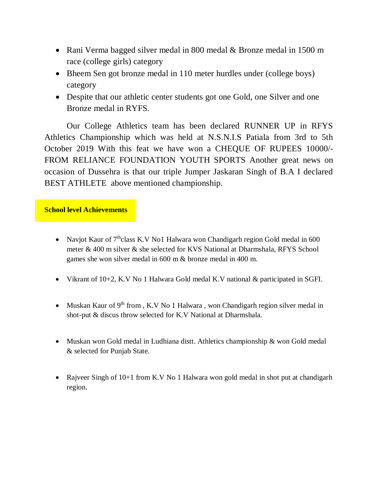- Rani Verma bagged silver medal in 800 medal & Bronze medal in 1500 m race (college girls) category
- Bheem Sen got bronze medal in 110 meter hurdles under (college boys) category
- Despite that our athletic center students got one Gold, one Silver and one Bronze medal in RYFS.

Our College Athletics team has been declared RUNNER UP in RFYS Athletics Championship which was held at N.S.N.I.S Patiala from 3rd to 5th October 2019 With this feat we have won a CHEQUE OF RUPEES 10000/- FROM RELIANCE FOUNDATION YOUTH SPORTS Another great news on occasion of Dussehra is that our triple Jumper Jaskaran Singh of B.A I declared BEST ATHLETE above mentioned championship.

#### **School level Achievements**

- Navjot Kaur of  $7<sup>th</sup>$ class K.V No1 Halwara won Chandigarh region Gold medal in 600 meter & 400 m silver & she selected for KVS National at Dharmshala, RFYS School games she won silver medal in 600 m & bronze medal in 400 m.
- Vikrant of 10+2, K.V No 1 Halwara Gold medal K.V national & participated in SGFI.
- Muskan Kaur of  $9<sup>th</sup>$  from , K.V No 1 Halwara, won Chandigarh region silver medal in shot-put & discus throw selected for K.V National at Dharmshala.
- Muskan won Gold medal in Ludhiana distt. Athletics championship & won Gold medal & selected for Punjab State.
- Rajveer Singh of 10+1 from K.V No 1 Halwara won gold medal in shot put at chandigarh region.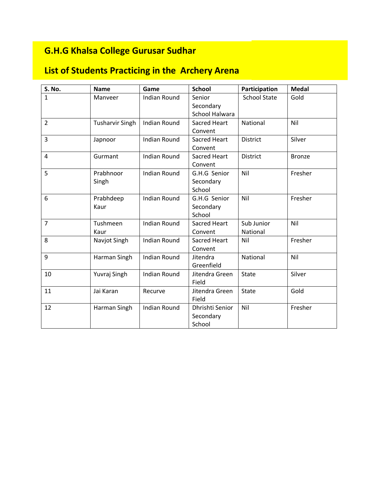# **G.H.G Khalsa College Gurusar Sudhar**

# **List of Students Practicing in the Archery Arena**

| S. No.         | <b>Name</b>            | Game                | <b>School</b>                          | Participation          | <b>Medal</b>  |
|----------------|------------------------|---------------------|----------------------------------------|------------------------|---------------|
| 1              | Manyeer                | <b>Indian Round</b> | Senior<br>Secondary<br>School Halwara  | <b>School State</b>    | Gold          |
| $\overline{2}$ | <b>Tusharvir Singh</b> | <b>Indian Round</b> | <b>Sacred Heart</b><br>Convent         | National               | Nil           |
| 3              | Japnoor                | <b>Indian Round</b> | Sacred Heart<br>Convent                | <b>District</b>        | Silver        |
| 4              | Gurmant                | <b>Indian Round</b> | <b>Sacred Heart</b><br>Convent         | <b>District</b>        | <b>Bronze</b> |
| 5              | Prabhnoor<br>Singh     | <b>Indian Round</b> | G.H.G Senior<br>Secondary<br>School    | Nil                    | Fresher       |
| 6              | Prabhdeep<br>Kaur      | <b>Indian Round</b> | G.H.G Senior<br>Secondary<br>School    | Nil                    | Fresher       |
| $\overline{7}$ | Tushmeen<br>Kaur       | <b>Indian Round</b> | <b>Sacred Heart</b><br>Convent         | Sub Junior<br>National | Nil           |
| 8              | Navjot Singh           | <b>Indian Round</b> | <b>Sacred Heart</b><br>Convent         | Nil                    | Fresher       |
| 9              | Harman Singh           | <b>Indian Round</b> | Jitendra<br>Greenfield                 | National               | Nil           |
| 10             | Yuvraj Singh           | <b>Indian Round</b> | Jitendra Green<br>Field                | State                  | Silver        |
| 11             | Jai Karan              | Recurve             | Jitendra Green<br>Field                | <b>State</b>           | Gold          |
| 12             | Harman Singh           | <b>Indian Round</b> | Dhrishti Senior<br>Secondary<br>School | Nil                    | Fresher       |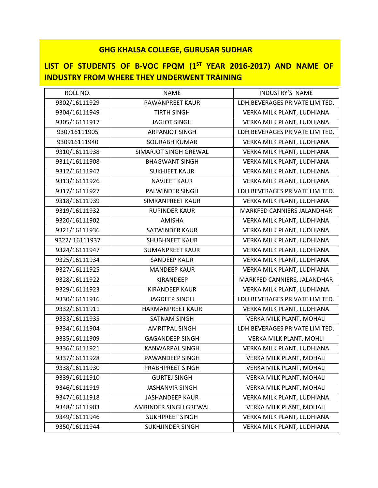## **LIST OF STUDENTS OF B-VOC FPQM (1 ST YEAR 2016-2017) AND NAME OF INDUSTRY FROM WHERE THEY UNDERWENT TRAINING**

| ROLL NO.      | <b>NAME</b>             | <b>INDUSTRY'S NAME</b>         |
|---------------|-------------------------|--------------------------------|
| 9302/16111929 | PAWANPREET KAUR         | LDH.BEVERAGES PRIVATE LIMITED. |
| 9304/16111949 | <b>TIRTH SINGH</b>      | VERKA MILK PLANT, LUDHIANA     |
| 9305/16111917 | <b>JAGJOT SINGH</b>     | VERKA MILK PLANT, LUDHIANA     |
| 930716111905  | <b>ARPANJOT SINGH</b>   | LDH.BEVERAGES PRIVATE LIMITED. |
| 930916111940  | <b>SOURABH KUMAR</b>    | VERKA MILK PLANT, LUDHIANA     |
| 9310/16111938 | SIMARJOT SINGH GREWAL   | VERKA MILK PLANT, LUDHIANA     |
| 9311/16111908 | <b>BHAGWANT SINGH</b>   | VERKA MILK PLANT, LUDHIANA     |
| 9312/16111942 | <b>SUKHJEET KAUR</b>    | VERKA MILK PLANT, LUDHIANA     |
| 9313/16111926 | <b>NAVJEET KAUR</b>     | VERKA MILK PLANT, LUDHIANA     |
| 9317/16111927 | PALWINDER SINGH         | LDH.BEVERAGES PRIVATE LIMITED. |
| 9318/16111939 | SIMRANPREET KAUR        | VERKA MILK PLANT, LUDHIANA     |
| 9319/16111932 | <b>RUPINDER KAUR</b>    | MARKFED CANNIERS JALANDHAR     |
| 9320/16111902 | <b>AMISHA</b>           | VERKA MILK PLANT, LUDHIANA     |
| 9321/16111936 | <b>SATWINDER KAUR</b>   | VERKA MILK PLANT, LUDHIANA     |
| 9322/16111937 | <b>SHUBHNEET KAUR</b>   | VERKA MILK PLANT, LUDHIANA     |
| 9324/16111947 | <b>SUMANPREET KAUR</b>  | VERKA MILK PLANT, LUDHIANA     |
| 9325/16111934 | <b>SANDEEP KAUR</b>     | VERKA MILK PLANT, LUDHIANA     |
| 9327/16111925 | <b>MANDEEP KAUR</b>     | VERKA MILK PLANT, LUDHIANA     |
| 9328/16111922 | KIRANDEEP               | MARKFED CANNIERS, JALANDHAR    |
| 9329/16111923 | <b>KIRANDEEP KAUR</b>   | VERKA MILK PLANT, LUDHIANA     |
| 9330/16111916 | <b>JAGDEEP SINGH</b>    | LDH.BEVERAGES PRIVATE LIMITED. |
| 9332/16111911 | <b>HARMANPREET KAUR</b> | VERKA MILK PLANT, LUDHIANA     |
| 9333/16111935 | <b>SATNAM SINGH</b>     | VERKA MILK PLANT, MOHALI       |
| 9334/16111904 | <b>AMRITPAL SINGH</b>   | LDH.BEVERAGES PRIVATE LIMITED. |
| 9335/16111909 | <b>GAGANDEEP SINGH</b>  | VERKA MILK PLANT, MOHLI        |
| 9336/16111921 | <b>KANWARPAL SINGH</b>  | VERKA MILK PLANT, LUDHIANA     |
| 9337/16111928 | PAWANDEEP SINGH         | VERKA MILK PLANT, MOHALI       |
| 9338/16111930 | PRABHPREET SINGH        | VERKA MILK PLANT, MOHALI       |
| 9339/16111910 | <b>GURTEJ SINGH</b>     | VERKA MILK PLANT, MOHALI       |
| 9346/16111919 | <b>JASHANVIR SINGH</b>  | VERKA MILK PLANT, MOHALI       |
| 9347/16111918 | <b>JASHANDEEP KAUR</b>  | VERKA MILK PLANT, LUDHIANA     |
| 9348/16111903 | AMRINDER SINGH GREWAL   | VERKA MILK PLANT, MOHALI       |
| 9349/16111946 | <b>SUKHPREET SINGH</b>  | VERKA MILK PLANT, LUDHIANA     |
| 9350/16111944 | <b>SUKHJINDER SINGH</b> | VERKA MILK PLANT, LUDHIANA     |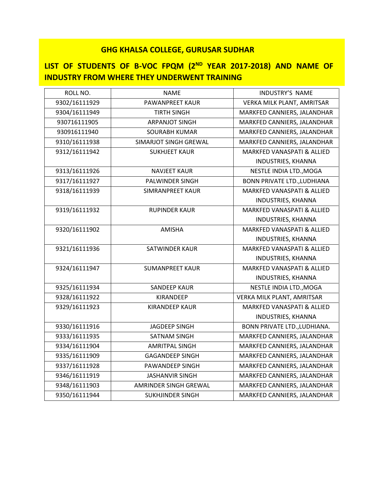## LIST OF STUDENTS OF B-VOC FPQM (2<sup>ND</sup> YEAR 2017-2018) AND NAME OF **INDUSTRY FROM WHERE THEY UNDERWENT TRAINING**

| ROLL NO.      | <b>NAME</b>             | <b>INDUSTRY'S NAME</b>                |
|---------------|-------------------------|---------------------------------------|
| 9302/16111929 | PAWANPREET KAUR         | VERKA MILK PLANT, AMRITSAR            |
| 9304/16111949 | <b>TIRTH SINGH</b>      | MARKFED CANNIERS, JALANDHAR           |
| 930716111905  | <b>ARPANJOT SINGH</b>   | MARKFED CANNIERS, JALANDHAR           |
| 930916111940  | <b>SOURABH KUMAR</b>    | MARKFED CANNIERS, JALANDHAR           |
| 9310/16111938 | SIMARJOT SINGH GREWAL   | MARKFED CANNIERS, JALANDHAR           |
| 9312/16111942 | <b>SUKHJEET KAUR</b>    | MARKFED VANASPATI & ALLIED            |
|               |                         | INDUSTRIES, KHANNA                    |
| 9313/16111926 | <b>NAVJEET KAUR</b>     | NESTLE INDIA LTD., MOGA               |
| 9317/16111927 | PALWINDER SINGH         | <b>BONN PRIVATE LTD., LUDHIANA</b>    |
| 9318/16111939 | <b>SIMRANPREET KAUR</b> | <b>MARKFED VANASPATI &amp; ALLIED</b> |
|               |                         | <b>INDUSTRIES, KHANNA</b>             |
| 9319/16111932 | <b>RUPINDER KAUR</b>    | MARKFED VANASPATI & ALLIED            |
|               |                         | <b>INDUSTRIES, KHANNA</b>             |
| 9320/16111902 | <b>AMISHA</b>           | <b>MARKFED VANASPATI &amp; ALLIED</b> |
|               |                         | INDUSTRIES, KHANNA                    |
| 9321/16111936 | <b>SATWINDER KAUR</b>   | MARKFED VANASPATI & ALLIED            |
|               |                         | INDUSTRIES, KHANNA                    |
| 9324/16111947 | <b>SUMANPREET KAUR</b>  | MARKFED VANASPATI & ALLIED            |
|               |                         | INDUSTRIES, KHANNA                    |
| 9325/16111934 | <b>SANDEEP KAUR</b>     | NESTLE INDIA LTD., MOGA               |
| 9328/16111922 | KIRANDEEP               | VERKA MILK PLANT, AMRITSAR            |
| 9329/16111923 | <b>KIRANDEEP KAUR</b>   | <b>MARKFED VANASPATI &amp; ALLIED</b> |
|               |                         | INDUSTRIES, KHANNA                    |
| 9330/16111916 | <b>JAGDEEP SINGH</b>    | BONN PRIVATE LTD., LUDHIANA.          |
| 9333/16111935 | <b>SATNAM SINGH</b>     | MARKFED CANNIERS, JALANDHAR           |
| 9334/16111904 | <b>AMRITPAL SINGH</b>   | MARKFED CANNIERS, JALANDHAR           |
| 9335/16111909 | <b>GAGANDEEP SINGH</b>  | MARKFED CANNIERS, JALANDHAR           |
| 9337/16111928 | PAWANDEEP SINGH         | MARKFED CANNIERS, JALANDHAR           |
| 9346/16111919 | <b>JASHANVIR SINGH</b>  | MARKFED CANNIERS, JALANDHAR           |
| 9348/16111903 | AMRINDER SINGH GREWAL   | MARKFED CANNIERS, JALANDHAR           |
| 9350/16111944 | <b>SUKHJINDER SINGH</b> | MARKFED CANNIERS, JALANDHAR           |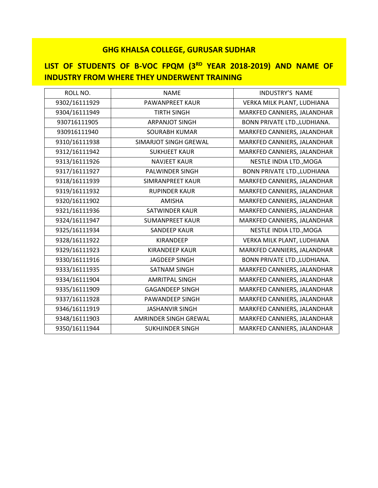# **LIST OF STUDENTS OF B-VOC FPQM (3RD YEAR 2018-2019) AND NAME OF INDUSTRY FROM WHERE THEY UNDERWENT TRAINING**

| ROLL NO.      | <b>NAME</b>                  | <b>INDUSTRY'S NAME</b>              |
|---------------|------------------------------|-------------------------------------|
| 9302/16111929 | PAWANPREET KAUR              | VERKA MILK PLANT, LUDHIANA          |
| 9304/16111949 | <b>TIRTH SINGH</b>           | MARKFED CANNIERS, JALANDHAR         |
| 930716111905  | <b>ARPANJOT SINGH</b>        | <b>BONN PRIVATE LTD., LUDHIANA.</b> |
| 930916111940  | <b>SOURABH KUMAR</b>         | MARKFED CANNIERS, JALANDHAR         |
| 9310/16111938 | <b>SIMARJOT SINGH GREWAL</b> | MARKFED CANNIERS, JALANDHAR         |
| 9312/16111942 | <b>SUKHJEET KAUR</b>         | MARKFED CANNIERS, JALANDHAR         |
| 9313/16111926 | <b>NAVJEET KAUR</b>          | NESTLE INDIA LTD., MOGA             |
| 9317/16111927 | PALWINDER SINGH              | <b>BONN PRIVATE LTD., LUDHIANA</b>  |
| 9318/16111939 | <b>SIMRANPREET KAUR</b>      | MARKFED CANNIERS, JALANDHAR         |
| 9319/16111932 | <b>RUPINDER KAUR</b>         | MARKFED CANNIERS, JALANDHAR         |
| 9320/16111902 | <b>AMISHA</b>                | MARKFED CANNIERS, JALANDHAR         |
| 9321/16111936 | SATWINDER KAUR               | MARKFED CANNIERS, JALANDHAR         |
| 9324/16111947 | <b>SUMANPREET KAUR</b>       | MARKFED CANNIERS, JALANDHAR         |
| 9325/16111934 | <b>SANDEEP KAUR</b>          | NESTLE INDIA LTD., MOGA             |
| 9328/16111922 | <b>KIRANDEEP</b>             | VERKA MILK PLANT, LUDHIANA          |
| 9329/16111923 | <b>KIRANDEEP KAUR</b>        | MARKFED CANNIERS, JALANDHAR         |
| 9330/16111916 | <b>JAGDEEP SINGH</b>         | BONN PRIVATE LTD., LUDHIANA.        |
| 9333/16111935 | <b>SATNAM SINGH</b>          | MARKFED CANNIERS, JALANDHAR         |
| 9334/16111904 | <b>AMRITPAL SINGH</b>        | MARKFED CANNIERS, JALANDHAR         |
| 9335/16111909 | <b>GAGANDEEP SINGH</b>       | MARKFED CANNIERS, JALANDHAR         |
| 9337/16111928 | PAWANDEEP SINGH              | MARKFED CANNIERS, JALANDHAR         |
| 9346/16111919 | <b>JASHANVIR SINGH</b>       | MARKFED CANNIERS, JALANDHAR         |
| 9348/16111903 | AMRINDER SINGH GREWAL        | MARKFED CANNIERS, JALANDHAR         |
| 9350/16111944 | <b>SUKHJINDER SINGH</b>      | MARKFED CANNIERS, JALANDHAR         |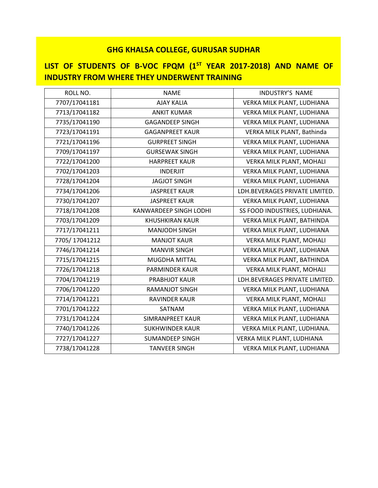## **LIST OF STUDENTS OF B-VOC FPQM (1 ST YEAR 2017-2018) AND NAME OF INDUSTRY FROM WHERE THEY UNDERWENT TRAINING**

| ROLL NO.      | <b>NAME</b>                   | INDUSTRY'S NAME                |
|---------------|-------------------------------|--------------------------------|
| 7707/17041181 | <b>AJAY KALIA</b>             | VERKA MILK PLANT, LUDHIANA     |
| 7713/17041182 | <b>ANKIT KUMAR</b>            | VERKA MILK PLANT, LUDHIANA     |
| 7735/17041190 | <b>GAGANDEEP SINGH</b>        | VERKA MILK PLANT, LUDHIANA     |
| 7723/17041191 | <b>GAGANPREET KAUR</b>        | VERKA MILK PLANT, Bathinda     |
| 7721/17041196 | <b>GURPREET SINGH</b>         | VERKA MILK PLANT, LUDHIANA     |
| 7709/17041197 | <b>GURSEWAK SINGH</b>         | VERKA MILK PLANT, LUDHIANA     |
| 7722/17041200 | <b>HARPREET KAUR</b>          | VERKA MILK PLANT, MOHALI       |
| 7702/17041203 | <b>INDERJIT</b>               | VERKA MILK PLANT, LUDHIANA     |
| 7728/17041204 | <b>JAGJOT SINGH</b>           | VERKA MILK PLANT, LUDHIANA     |
| 7734/17041206 | <b>JASPREET KAUR</b>          | LDH.BEVERAGES PRIVATE LIMITED. |
| 7730/17041207 | <b>JASPREET KAUR</b>          | VERKA MILK PLANT, LUDHIANA     |
| 7718/17041208 | <b>KANWARDEEP SINGH LODHI</b> | SS FOOD INDUSTRIES, LUDHIANA.  |
| 7703/17041209 | <b>KHUSHKIRAN KAUR</b>        | VERKA MILK PLANT, BATHINDA     |
| 7717/17041211 | <b>MANJODH SINGH</b>          | VERKA MILK PLANT, LUDHIANA     |
| 7705/17041212 | <b>MANJOT KAUR</b>            | VERKA MILK PLANT, MOHALI       |
| 7746/17041214 | <b>MANVIR SINGH</b>           | VERKA MILK PLANT, LUDHIANA     |
| 7715/17041215 | MUGDHA MITTAL                 | VERKA MILK PLANT, BATHINDA     |
| 7726/17041218 | <b>PARMINDER KAUR</b>         | VERKA MILK PLANT, MOHALI       |
| 7704/17041219 | PRABHJOT KAUR                 | LDH.BEVERAGES PRIVATE LIMITED. |
| 7706/17041220 | <b>RAMANJOT SINGH</b>         | VERKA MILK PLANT, LUDHIANA     |
| 7714/17041221 | <b>RAVINDER KAUR</b>          | VERKA MILK PLANT, MOHALI       |
| 7701/17041222 | SATNAM                        | VERKA MILK PLANT, LUDHIANA     |
| 7731/17041224 | SIMRANPREET KAUR              | VERKA MILK PLANT, LUDHIANA     |
| 7740/17041226 | <b>SUKHWINDER KAUR</b>        | VERKA MILK PLANT, LUDHIANA.    |
| 7727/17041227 | <b>SUMANDEEP SINGH</b>        | VERKA MILK PLANT, LUDHIANA     |
| 7738/17041228 | <b>TANVEER SINGH</b>          | VERKA MILK PLANT, LUDHIANA     |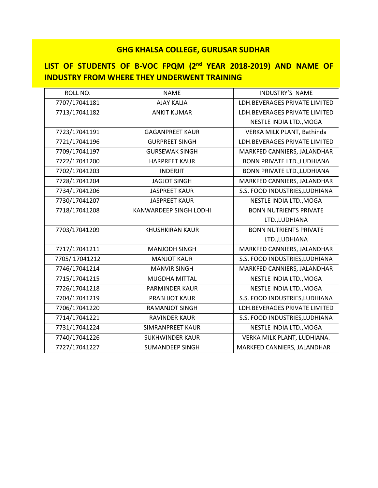## **LIST OF STUDENTS OF B-VOC FPQM (2nd YEAR 2018-2019) AND NAME OF INDUSTRY FROM WHERE THEY UNDERWENT TRAINING**

| ROLL NO.      | <b>NAME</b>                   | INDUSTRY'S NAME                    |
|---------------|-------------------------------|------------------------------------|
| 7707/17041181 | <b>AJAY KALIA</b>             | LDH.BEVERAGES PRIVATE LIMITED      |
| 7713/17041182 | <b>ANKIT KUMAR</b>            | LDH.BEVERAGES PRIVATE LIMITED      |
|               |                               | NESTLE INDIA LTD., MOGA            |
| 7723/17041191 | <b>GAGANPREET KAUR</b>        | VERKA MILK PLANT, Bathinda         |
| 7721/17041196 | <b>GURPREET SINGH</b>         | LDH.BEVERAGES PRIVATE LIMITED      |
| 7709/17041197 | <b>GURSEWAK SINGH</b>         | MARKFED CANNIERS, JALANDHAR        |
| 7722/17041200 | <b>HARPREET KAUR</b>          | <b>BONN PRIVATE LTD., LUDHIANA</b> |
| 7702/17041203 | <b>INDERJIT</b>               | <b>BONN PRIVATE LTD., LUDHIANA</b> |
| 7728/17041204 | <b>JAGJOT SINGH</b>           | MARKFED CANNIERS, JALANDHAR        |
| 7734/17041206 | <b>JASPREET KAUR</b>          | S.S. FOOD INDUSTRIES, LUDHIANA     |
| 7730/17041207 | <b>JASPREET KAUR</b>          | NESTLE INDIA LTD., MOGA            |
| 7718/17041208 | <b>KANWARDEEP SINGH LODHI</b> | <b>BONN NUTRIENTS PRIVATE</b>      |
|               |                               | LTD., LUDHIANA                     |
| 7703/17041209 | <b>KHUSHKIRAN KAUR</b>        | <b>BONN NUTRIENTS PRIVATE</b>      |
|               |                               | LTD., LUDHIANA                     |
| 7717/17041211 | <b>MANJODH SINGH</b>          | MARKFED CANNIERS, JALANDHAR        |
| 7705/17041212 | <b>MANJOT KAUR</b>            | S.S. FOOD INDUSTRIES, LUDHIANA     |
| 7746/17041214 | <b>MANVIR SINGH</b>           | MARKFED CANNIERS, JALANDHAR        |
| 7715/17041215 | MUGDHA MITTAL                 | NESTLE INDIA LTD., MOGA            |
| 7726/17041218 | <b>PARMINDER KAUR</b>         | NESTLE INDIA LTD., MOGA            |
| 7704/17041219 | PRABHJOT KAUR                 | S.S. FOOD INDUSTRIES, LUDHIANA     |
| 7706/17041220 | <b>RAMANJOT SINGH</b>         | LDH.BEVERAGES PRIVATE LIMITED      |
| 7714/17041221 | <b>RAVINDER KAUR</b>          | S.S. FOOD INDUSTRIES, LUDHIANA     |
| 7731/17041224 | SIMRANPREET KAUR              | NESTLE INDIA LTD., MOGA            |
| 7740/17041226 | <b>SUKHWINDER KAUR</b>        | VERKA MILK PLANT, LUDHIANA.        |
| 7727/17041227 | <b>SUMANDEEP SINGH</b>        | MARKFED CANNIERS, JALANDHAR        |